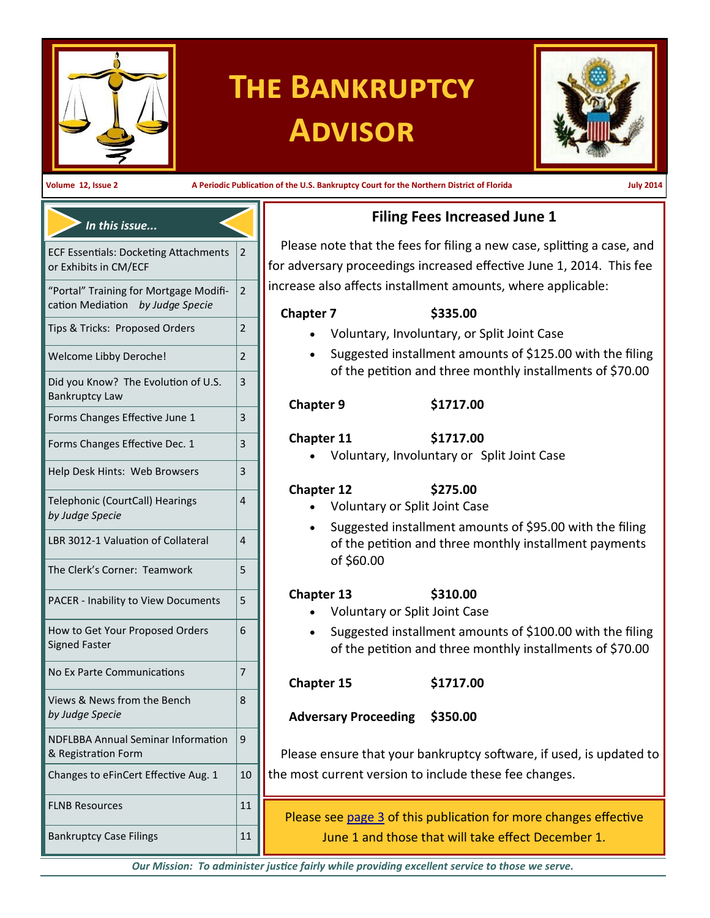

# **The Bankruptcy Advisor**



**Volume 12, Issue 2 A Periodic Publication of the U.S. Bankruptcy Court for the Northern District of Florida July 2014**

# ECF Essentials: Docketing Attachments 2 or Exhibits in CM/ECF "Portal" Training for Mortgage Modification Mediation *by Judge Specie* 2 Tips & Tricks: Proposed Orders  $\vert$  2 Welcome Libby Deroche! 2 Did you Know? The Evolution of U.S. Bankruptcy Law 3 Forms Changes Effective June  $1$  | 3 Forms Changes Effective Dec.  $1$  | 3 Help Desk Hints: Web Browsers  $|3|$ Telephonic (CourtCall) Hearings *by Judge Specie* 4 LBR 3012-1 Valuation of Collateral  $\vert 4 \vert$ The Clerk's Corner: Teamwork 5 PACER - Inability to View Documents  $\vert$  5 How to Get Your Proposed Orders Signed Faster 6 No Ex Parte Communications  $|7|$ Views & News from the Bench *by Judge Specie* 8 NDFLBBA Annual Seminar Information & Registration Form 9 Changes to eFinCert Effective Aug.  $1 \quad |10$ FLNB Resources 11 Bankruptcy Case Filings 11 *In this issue...*

# **Filing Fees Increased June 1**

Please note that the fees for filing a new case, splitting a case, and for adversary proceedings increased effective June 1, 2014. This fee increase also affects installment amounts, where applicable:

#### **Chapter 7 \$335.00**

- Voluntary, Involuntary, or Split Joint Case
- Suggested installment amounts of \$125.00 with the filing of the petition and three monthly installments of \$70.00

### **Chapter 9 \$1717.00**

#### **Chapter 11 \$1717.00**

Voluntary, Involuntary or Split Joint Case

#### **Chapter 12 \$275.00**

- Voluntary or Split Joint Case
- Suggested installment amounts of \$95.00 with the filing of the petition and three monthly installment payments of \$60.00

### **Chapter 13 \$310.00**

- Voluntary or Split Joint Case
- Suggested installment amounts of \$100.00 with the filing of the petition and three monthly installments of \$70.00

**Chapter 15 \$1717.00**

**Adversary Proceeding \$350.00**

Please ensure that your bankruptcy software, if used, is updated to the most current version to include these fee changes.

Please see [page 3](#page-2-0) of this publication for more changes effective June 1 and those that will take effect December 1.

*Our Mission: To administer justice fairly while providing excellent service to those we serve.*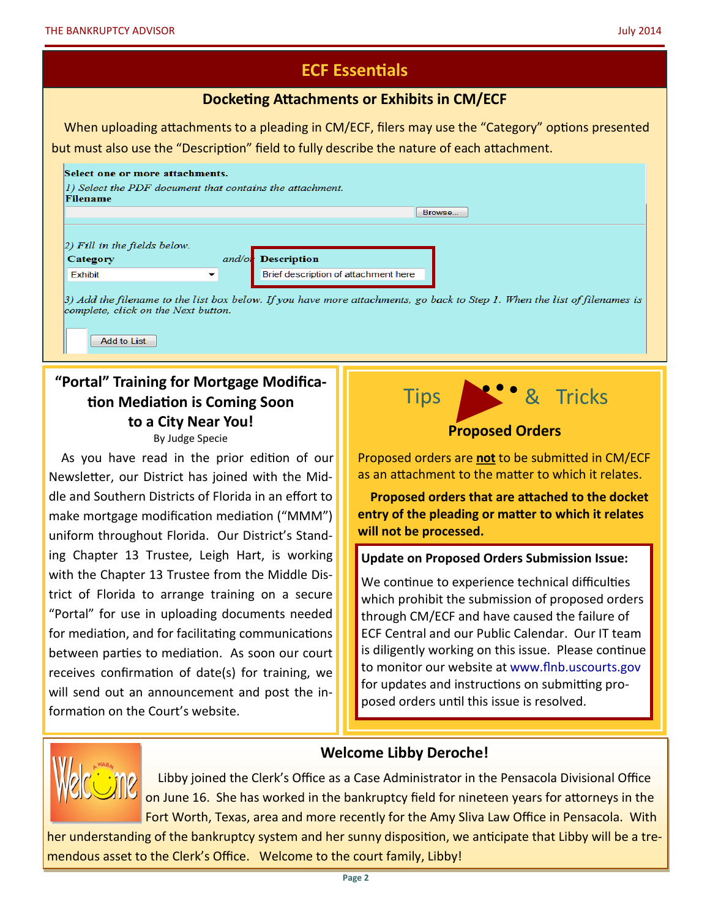| <b>ECF Essentials</b>                       |                                                                                                                                                                                                                                                                                                                             |  |  |  |  |  |
|---------------------------------------------|-----------------------------------------------------------------------------------------------------------------------------------------------------------------------------------------------------------------------------------------------------------------------------------------------------------------------------|--|--|--|--|--|
| Docketing Attachments or Exhibits in CM/ECF |                                                                                                                                                                                                                                                                                                                             |  |  |  |  |  |
|                                             | When uploading attachments to a pleading in CM/ECF, filers may use the "Category" options presented<br>but must also use the "Description" field to fully describe the nature of each attachment.                                                                                                                           |  |  |  |  |  |
|                                             | Select one or more attachments.<br>1) Select the PDF document that contains the attachment.<br><b>Filename</b><br>Browse                                                                                                                                                                                                    |  |  |  |  |  |
|                                             | $ 2)$ Fill in the fields below.<br>and/o <b>r</b> Description<br>Category<br>Brief description of attachment here<br>Exhibit<br>▼<br>3) Add the filename to the list box below. If you have more attachments, go back to Step 1. When the list of filenames is<br>complete, click on the Next button.<br><b>Add to List</b> |  |  |  |  |  |

# **"Portal" Training for Mortgage Modification Mediation is Coming Soon to a City Near You!**

By Judge Specie

As you have read in the prior edition of our Newsletter, our District has joined with the Middle and Southern Districts of Florida in an effort to make mortgage modification mediation ("MMM") uniform throughout Florida. Our District's Standing Chapter 13 Trustee, Leigh Hart, is working with the Chapter 13 Trustee from the Middle District of Florida to arrange training on a secure "Portal" for use in uploading documents needed for mediation, and for facilitating communications between parties to mediation. As soon our court receives confirmation of date(s) for training, we will send out an announcement and post the information on the Court's website.



#### **Proposed Orders**

Proposed orders are **not** to be submitted in CM/ECF as an attachment to the matter to which it relates.

**Proposed orders that are attached to the docket entry of the pleading or matter to which it relates will not be processed.** 

#### **Update on Proposed Orders Submission Issue:**

We continue to experience technical difficulties which prohibit the submission of proposed orders through CM/ECF and have caused the failure of ECF Central and our Public Calendar. Our IT team is diligently working on this issue. Please continue to monitor our website at [www.flnb.uscourts.gov](http://www.flnb.uscourts.gov) for updates and instructions on submitting proposed orders until this issue is resolved.



#### **Welcome Libby Deroche!**

Libby joined the Clerk's Office as a Case Administrator in the Pensacola Divisional Office on June 16. She has worked in the bankruptcy field for nineteen years for attorneys in the Fort Worth, Texas, area and more recently for the Amy Sliva Law Office in Pensacola. With

her understanding of the bankruptcy system and her sunny disposition, we anticipate that Libby will be a tremendous asset to the Clerk's Office. Welcome to the court family, Libby!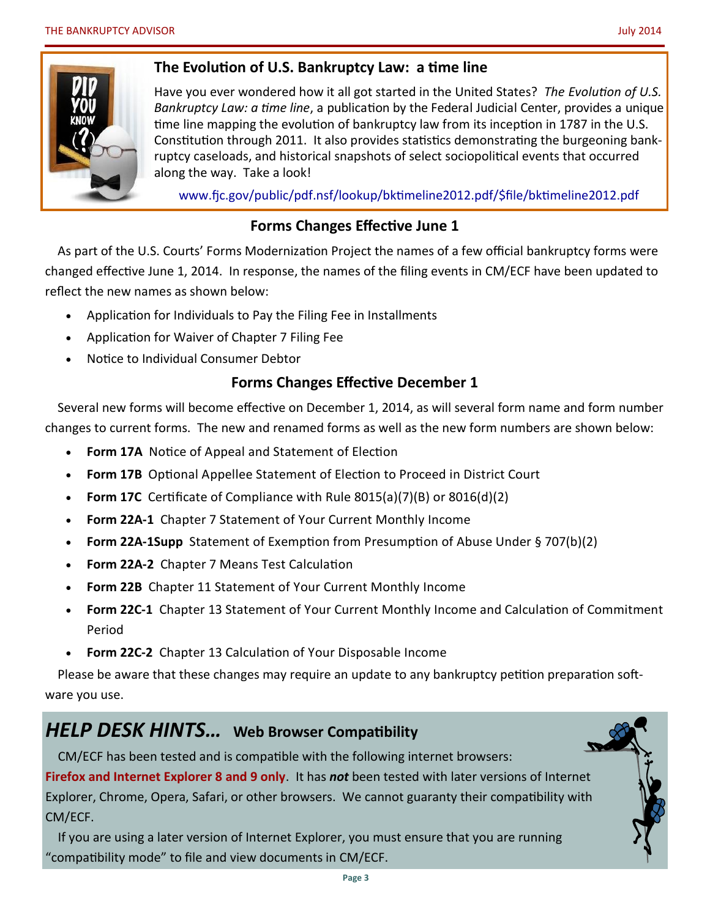<span id="page-2-0"></span>

#### **The Evolution of U.S. Bankruptcy Law: a time line**

Have you ever wondered how it all got started in the United States? *The Evolution of U.S. Bankruptcy Law: a time line*, a publication by the Federal Judicial Center, provides a unique time line mapping the evolution of bankruptcy law from its inception in 1787 in the U.S. Constitution through 2011. It also provides statistics demonstrating the burgeoning bankruptcy caseloads, and historical snapshots of select sociopolitical events that occurred along the way. Take a look!

[www.fjc.gov/public/pdf.nsf/lookup/bktimeline2012.pdf/\\$file/bktimeline2012.pdf](http://www.fjc.gov/public/pdf.nsf/lookup/bktimeline2012.pdf/$file/bktimeline2012.pdf)

### **Forms Changes Effective June 1**

As part of the U.S. Courts' Forms Modernization Project the names of a few official bankruptcy forms were changed effective June 1, 2014. In response, the names of the filing events in CM/ECF have been updated to reflect the new names as shown below:

- Application for Individuals to Pay the Filing Fee in Installments
- Application for Waiver of Chapter 7 Filing Fee
- Notice to Individual Consumer Debtor

### **Forms Changes Effective December 1**

Several new forms will become effective on December 1, 2014, as will several form name and form number changes to current forms. The new and renamed forms as well as the new form numbers are shown below:

- **Form 17A** Notice of Appeal and Statement of Election
- **Form 17B** Optional Appellee Statement of Election to Proceed in District Court
- **Form 17C** Certificate of Compliance with Rule 8015(a)(7)(B) or 8016(d)(2)
- **Form 22A-1** Chapter 7 Statement of Your Current Monthly Income
- **Form 22A-1Supp** Statement of Exemption from Presumption of Abuse Under § 707(b)(2)
- **Form 22A-2** Chapter 7 Means Test Calculation
- **Form 22B** Chapter 11 Statement of Your Current Monthly Income
- **Form 22C-1** Chapter 13 Statement of Your Current Monthly Income and Calculation of Commitment Period
- **Form 22C-2** Chapter 13 Calculation of Your Disposable Income

Please be aware that these changes may require an update to any bankruptcy petition preparation software you use.

# *HELP DESK HINTS…* **Web Browser Compatibility**

CM/ECF has been tested and is compatible with the following internet browsers:

**Firefox and Internet Explorer 8 and 9 only**.It has *not* been tested with later versions of Internet Explorer, Chrome, Opera, Safari, or other browsers. We cannot guaranty their compatibility with CM/ECF.

If you are using a later version of Internet Explorer, you must ensure that you are running "compatibility mode" to file and view documents in CM/ECF.

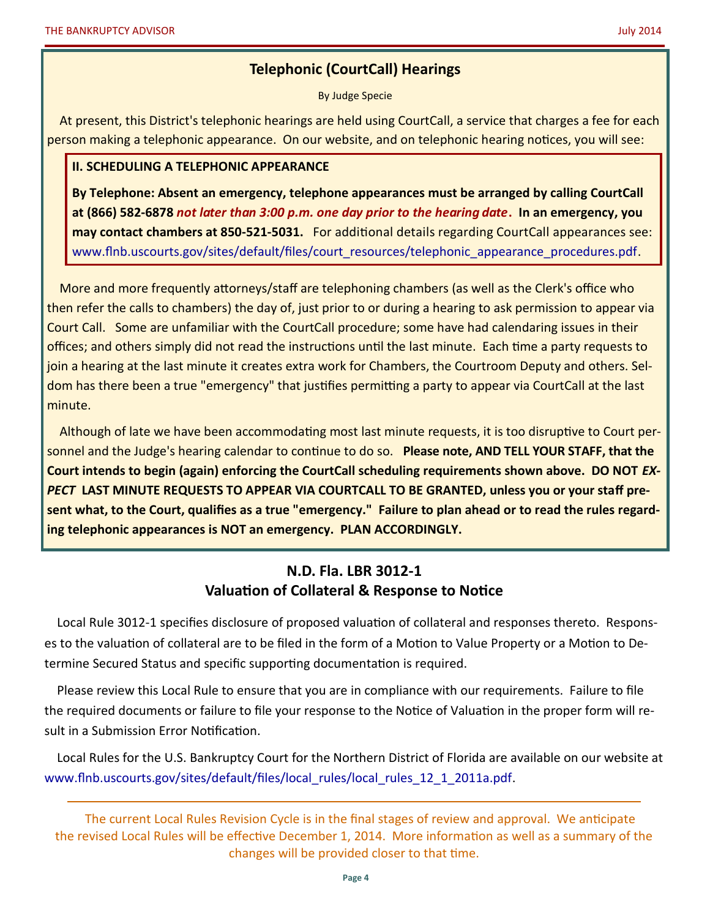#### **Telephonic (CourtCall) Hearings**

By Judge Specie

At present, this District's telephonic hearings are held using CourtCall, a service that charges a fee for each person making a telephonic appearance. On our website, and on telephonic hearing notices, you will see:

#### **II. SCHEDULING A TELEPHONIC APPEARANCE**

**By Telephone: Absent an emergency, telephone appearances must be arranged by calling CourtCall at (866) 582-6878** *not later than 3:00 p.m. one day prior to the hearing date***. In an emergency, you may contact chambers at 850-521-5031.** For additional details regarding CourtCall appearances see: [www.flnb.uscourts.gov/sites/default/files/court\\_resources/telephonic\\_appearance\\_procedures.pdf.](http://www.flnb.uscourts.gov/sites/default/files/court_resources/telephonic_appearance_procedures.pdf)

More and more frequently attorneys/staff are telephoning chambers (as well as the Clerk's office who then refer the calls to chambers) the day of, just prior to or during a hearing to ask permission to appear via Court Call. Some are unfamiliar with the CourtCall procedure; some have had calendaring issues in their offices; and others simply did not read the instructions until the last minute. Each time a party requests to join a hearing at the last minute it creates extra work for Chambers, the Courtroom Deputy and others. Seldom has there been a true "emergency" that justifies permitting a party to appear via CourtCall at the last minute.

Although of late we have been accommodating most last minute requests, it is too disruptive to Court personnel and the Judge's hearing calendar to continue to do so. **Please note, AND TELL YOUR STAFF, that the Court intends to begin (again) enforcing the CourtCall scheduling requirements shown above. DO NOT** *EX-PECT* **LAST MINUTE REQUESTS TO APPEAR VIA COURTCALL TO BE GRANTED, unless you or your staff present what, to the Court, qualifies as a true "emergency." Failure to plan ahead or to read the rules regarding telephonic appearances is NOT an emergency. PLAN ACCORDINGLY.**

# **N.D. Fla. LBR 3012-1 Valuation of Collateral & Response to Notice**

Local Rule 3012-1 specifies disclosure of proposed valuation of collateral and responses thereto. Responses to the valuation of collateral are to be filed in the form of a Motion to Value Property or a Motion to Determine Secured Status and specific supporting documentation is required.

Please review this Local Rule to ensure that you are in compliance with our requirements. Failure to file the required documents or failure to file your response to the Notice of Valuation in the proper form will result in a Submission Error Notification.

Local Rules for the U.S. Bankruptcy Court for the Northern District of Florida are available on our website at [www.flnb.uscourts.gov/sites/default/files/local\\_rules/local\\_rules\\_12\\_1\\_2011a.pdf.](http://www.flnb.uscourts.gov/sites/default/files/local_rules/local_rules_12_1_2011a.pdf)

The current Local Rules Revision Cycle is in the final stages of review and approval. We anticipate the revised Local Rules will be effective December 1, 2014. More information as well as a summary of the changes will be provided closer to that time.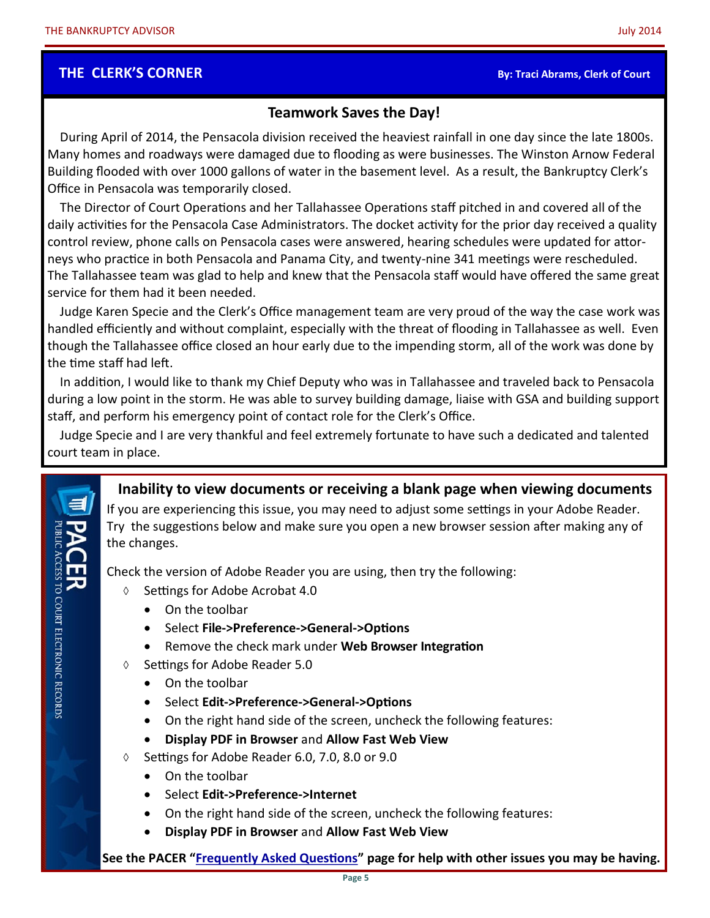l

#### **THE CLERK'S CORNER By: Traci Abrams, Clerk of Court**

### **Teamwork Saves the Day!**

During April of 2014, the Pensacola division received the heaviest rainfall in one day since the late 1800s. Many homes and roadways were damaged due to flooding as were businesses. The Winston Arnow Federal Building flooded with over 1000 gallons of water in the basement level. As a result, the Bankruptcy Clerk's Office in Pensacola was temporarily closed.

The Director of Court Operations and her Tallahassee Operations staff pitched in and covered all of the daily activities for the Pensacola Case Administrators. The docket activity for the prior day received a quality control review, phone calls on Pensacola cases were answered, hearing schedules were updated for attorneys who practice in both Pensacola and Panama City, and twenty-nine 341 meetings were rescheduled. The Tallahassee team was glad to help and knew that the Pensacola staff would have offered the same great service for them had it been needed.

Judge Karen Specie and the Clerk's Office management team are very proud of the way the case work was handled efficiently and without complaint, especially with the threat of flooding in Tallahassee as well. Even though the Tallahassee office closed an hour early due to the impending storm, all of the work was done by the time staff had left.

In addition, I would like to thank my Chief Deputy who was in Tallahassee and traveled back to Pensacola during a low point in the storm. He was able to survey building damage, liaise with GSA and building support staff, and perform his emergency point of contact role for the Clerk's Office.

Judge Specie and I are very thankful and feel extremely fortunate to have such a dedicated and talented court team in place.

# **Inability to view documents or receiving a blank page when viewing documents**

If you are experiencing this issue, you may need to adjust some settings in your Adobe Reader. Try the suggestions below and make sure you open a new browser session after making any of the changes.

Check the version of Adobe Reader you are using, then try the following:

- $\Diamond$  Settings for Adobe Acrobat 4.0
	- On the toolbar
	- Select **File->Preference->General->Options**
	- Remove the check mark under **Web Browser Integration**
- $\lozenge$  Settings for Adobe Reader 5.0
	- On the toolbar
	- Select **Edit->Preference->General->Options**
	- On the right hand side of the screen, uncheck the following features:
	- **Display PDF in Browser** and **Allow Fast Web View**
- $\lozenge$  Settings for Adobe Reader 6.0, 7.0, 8.0 or 9.0
	- On the toolbar
	- Select **Edit->Preference->Internet**
	- On the right hand side of the screen, uncheck the following features:
	- **Display PDF in Browser** and **Allow Fast Web View**

**See the PACER "[Frequently Asked Questions"](http://www.pacer.gov/psc/hfaq.html) page for help with other issues you may be having.**

**ESS TO COURT ELECTRONIC RECORDS**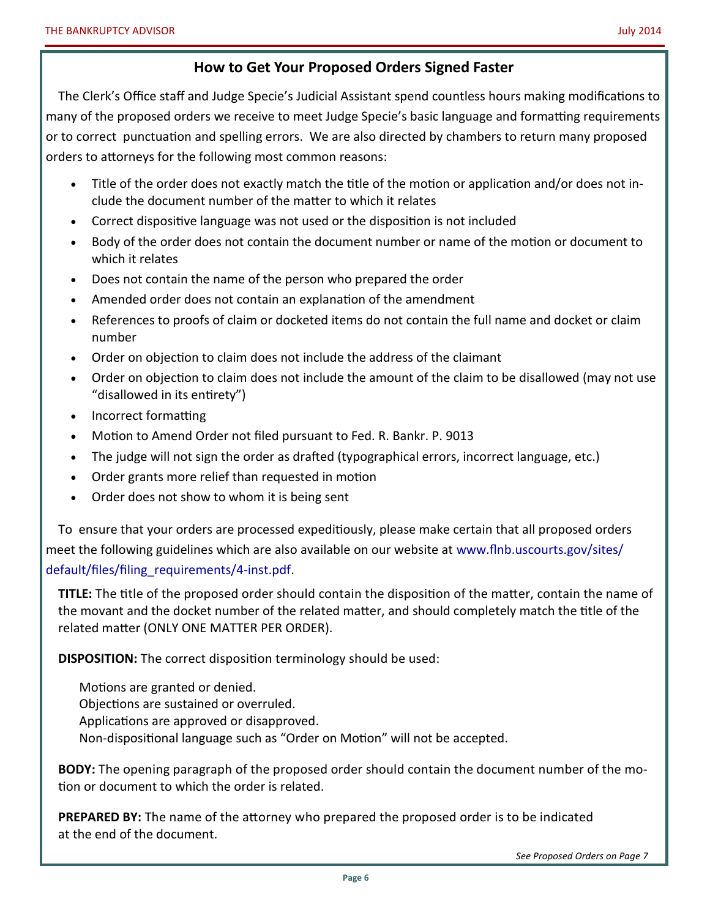#### **How to Get Your Proposed Orders Signed Faster**

The Clerk's Office staff and Judge Specie's Judicial Assistant spend countless hours making modifications to many of the proposed orders we receive to meet Judge Specie's basic language and formatting requirements or to correct punctuation and spelling errors. We are also directed by chambers to return many proposed orders to attorneys for the following most common reasons:

- Title of the order does not exactly match the title of the motion or application and/or does not include the document number of the matter to which it relates
- Correct dispositive language was not used or the disposition is not included
- Body of the order does not contain the document number or name of the motion or document to which it relates
- Does not contain the name of the person who prepared the order
- Amended order does not contain an explanation of the amendment
- References to proofs of claim or docketed items do not contain the full name and docket or claim number
- Order on objection to claim does not include the address of the claimant
- Order on objection to claim does not include the amount of the claim to be disallowed (may not use "disallowed in its entirety")
- Incorrect formatting
- Motion to Amend Order not filed pursuant to Fed. R. Bankr. P. 9013
- The judge will not sign the order as drafted (typographical errors, incorrect language, etc.)
- Order grants more relief than requested in motion
- Order does not show to whom it is being sent

To ensure that your orders are processed expeditiously, please make certain that all proposed orders

meet the following guidelines which are also available on our website at [www.flnb.uscourts.gov/sites/](http://www.flnb.uscourts.gov/sites/default/files/filing_requirements/4-inst.pdf) [default/files/filing\\_requirements/4](http://www.flnb.uscourts.gov/sites/default/files/filing_requirements/4-inst.pdf)-inst.pdf.

**TITLE:** The title of the proposed order should contain the disposition of the matter, contain the name of the movant and the docket number of the related matter, and should completely match the title of the related matter (ONLY ONE MATTER PER ORDER).

**DISPOSITION:** The correct disposition terminology should be used:

Motions are granted or denied. Objections are sustained or overruled. Applications are approved or disapproved. Non-dispositional language such as "Order on Motion" will not be accepted.

**BODY:** The opening paragraph of the proposed order should contain the document number of the motion or document to which the order is related.

**PREPARED BY:** The name of the attorney who prepared the proposed order is to be indicated at the end of the document.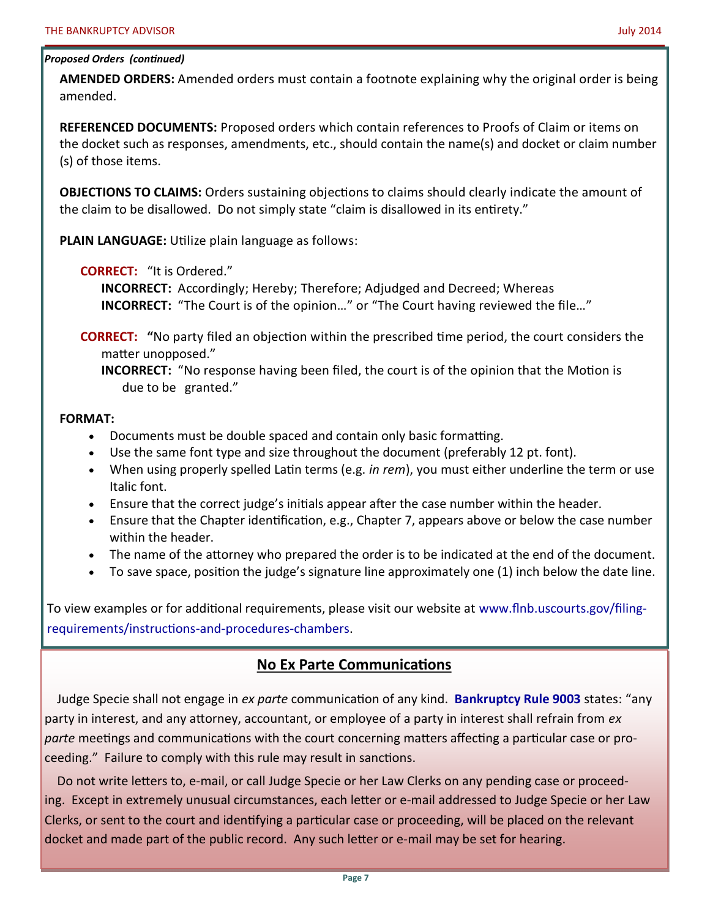#### *Proposed Orders (continued)*

**AMENDED ORDERS:** Amended orders must contain a footnote explaining why the original order is being amended.

**REFERENCED DOCUMENTS:** Proposed orders which contain references to Proofs of Claim or items on the docket such as responses, amendments, etc., should contain the name(s) and docket or claim number (s) of those items.

**OBJECTIONS TO CLAIMS:** Orders sustaining objections to claims should clearly indicate the amount of the claim to be disallowed. Do not simply state "claim is disallowed in its entirety."

**PLAIN LANGUAGE:** Utilize plain language as follows:

#### **CORRECT:** "It is Ordered."

**INCORRECT:** Accordingly; Hereby; Therefore; Adjudged and Decreed; Whereas **INCORRECT:** "The Court is of the opinion…" or "The Court having reviewed the file…"

**CORRECT: "**No party filed an objection within the prescribed time period, the court considers the matter unopposed."

**INCORRECT:** "No response having been filed, the court is of the opinion that the Motion is due to be granted."

#### **FORMAT:**

- Documents must be double spaced and contain only basic formatting.
- Use the same font type and size throughout the document (preferably 12 pt. font).
- When using properly spelled Latin terms (e.g. *in rem*), you must either underline the term or use Italic font.
- Ensure that the correct judge's initials appear after the case number within the header.
- Ensure that the Chapter identification, e.g., Chapter 7, appears above or below the case number within the header.
- The name of the attorney who prepared the order is to be indicated at the end of the document.
- To save space, position the judge's signature line approximately one (1) inch below the date line.

To view examples or for additional requirements, please visit our website at [www.flnb.uscourts.gov/filing](http://www.flnb.uscourts.gov/filing-requirements/instructions-and-procedures-chambers)[requirements/instructions](http://www.flnb.uscourts.gov/filing-requirements/instructions-and-procedures-chambers)-and-procedures-chambers.

#### **No Ex Parte Communications**

Judge Specie shall not engage in *ex parte* communication of any kind. **[Bankruptcy Rule](http://www.law.cornell.edu/rules/frbp/rule_9003) 9003** states: "any party in interest, and any attorney, accountant, or employee of a party in interest shall refrain from *ex parte* meetings and communications with the court concerning matters affecting a particular case or proceeding." Failure to comply with this rule may result in sanctions.

Do not write letters to, e-mail, or call Judge Specie or her Law Clerks on any pending case or proceeding. Except in extremely unusual circumstances, each letter or e-mail addressed to Judge Specie or her Law Clerks, or sent to the court and identifying a particular case or proceeding, will be placed on the relevant docket and made part of the public record. Any such letter or e-mail may be set for hearing.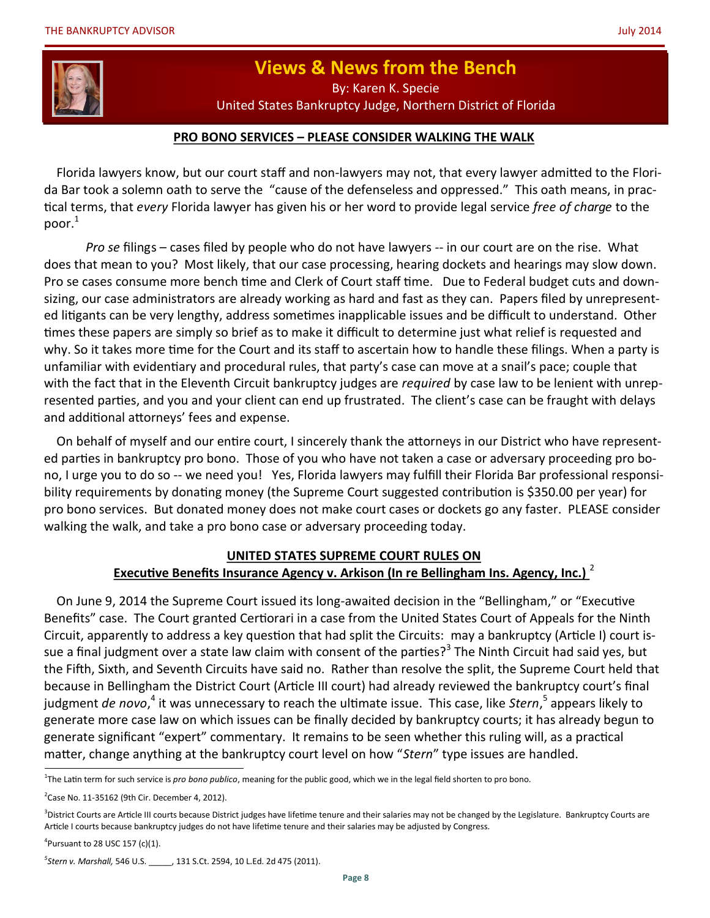

# **Views & News from the Bench**

By: Karen K. Specie

United States Bankruptcy Judge, Northern District of Florida

#### **PRO BONO SERVICES – PLEASE CONSIDER WALKING THE WALK**

Florida lawyers know, but our court staff and non-lawyers may not, that every lawyer admitted to the Florida Bar took a solemn oath to serve the "cause of the defenseless and oppressed." This oath means, in practical terms, that *every* Florida lawyer has given his or her word to provide legal service *free of charge* to the poor. $1$ 

*Pro se* filings – cases filed by people who do not have lawyers -- in our court are on the rise. What does that mean to you? Most likely, that our case processing, hearing dockets and hearings may slow down. Pro se cases consume more bench time and Clerk of Court staff time. Due to Federal budget cuts and downsizing, our case administrators are already working as hard and fast as they can. Papers filed by unrepresented litigants can be very lengthy, address sometimes inapplicable issues and be difficult to understand. Other times these papers are simply so brief as to make it difficult to determine just what relief is requested and why. So it takes more time for the Court and its staff to ascertain how to handle these filings. When a party is unfamiliar with evidentiary and procedural rules, that party's case can move at a snail's pace; couple that with the fact that in the Eleventh Circuit bankruptcy judges are *required* by case law to be lenient with unrepresented parties, and you and your client can end up frustrated. The client's case can be fraught with delays and additional attorneys' fees and expense.

On behalf of myself and our entire court, I sincerely thank the attorneys in our District who have represented parties in bankruptcy pro bono. Those of you who have not taken a case or adversary proceeding pro bono, I urge you to do so -- we need you! Yes, Florida lawyers may fulfill their Florida Bar professional responsibility requirements by donating money (the Supreme Court suggested contribution is \$350.00 per year) for pro bono services. But donated money does not make court cases or dockets go any faster. PLEASE consider walking the walk, and take a pro bono case or adversary proceeding today.

#### **UNITED STATES SUPREME COURT RULES ON Executive Benefits Insurance Agency v. Arkison (In re Bellingham Ins. Agency, Inc.)** <sup>2</sup>

On June 9, 2014 the Supreme Court issued its long-awaited decision in the "Bellingham," or "Executive Benefits" case. The Court granted Certiorari in a case from the United States Court of Appeals for the Ninth Circuit, apparently to address a key question that had split the Circuits: may a bankruptcy (Article I) court issue a final judgment over a state law claim with consent of the parties?<sup>3</sup> The Ninth Circuit had said yes, but the Fifth, Sixth, and Seventh Circuits have said no. Rather than resolve the split, the Supreme Court held that because in Bellingham the District Court (Article III court) had already reviewed the bankruptcy court's final judgment *de novo*,<sup>4</sup> it was unnecessary to reach the ultimate issue. This case, like Stern,<sup>5</sup> appears likely to generate more case law on which issues can be finally decided by bankruptcy courts; it has already begun to generate significant "expert" commentary. It remains to be seen whether this ruling will, as a practical matter, change anything at the bankruptcy court level on how "*Stern*" type issues are handled.

<sup>&</sup>lt;sup>1</sup>The Latin term for such service is *pro bono publico*, meaning for the public good, which we in the legal field shorten to pro bono.

 $2$ Case No. 11-35162 (9th Cir. December 4, 2012).

<sup>&</sup>lt;sup>3</sup>District Courts are Article III courts because District judges have lifetime tenure and their salaries may not be changed by the Legislature. Bankruptcy Courts are Article I courts because bankruptcy judges do not have lifetime tenure and their salaries may be adjusted by Congress.

<sup>&</sup>lt;sup>4</sup>Pursuant to 28 USC 157 (c)(1).

*<sup>5</sup> Stern v. Marshall,* 546 U.S. \_\_\_\_\_, 131 S.Ct. 2594, 10 L.Ed. 2d 475 (2011).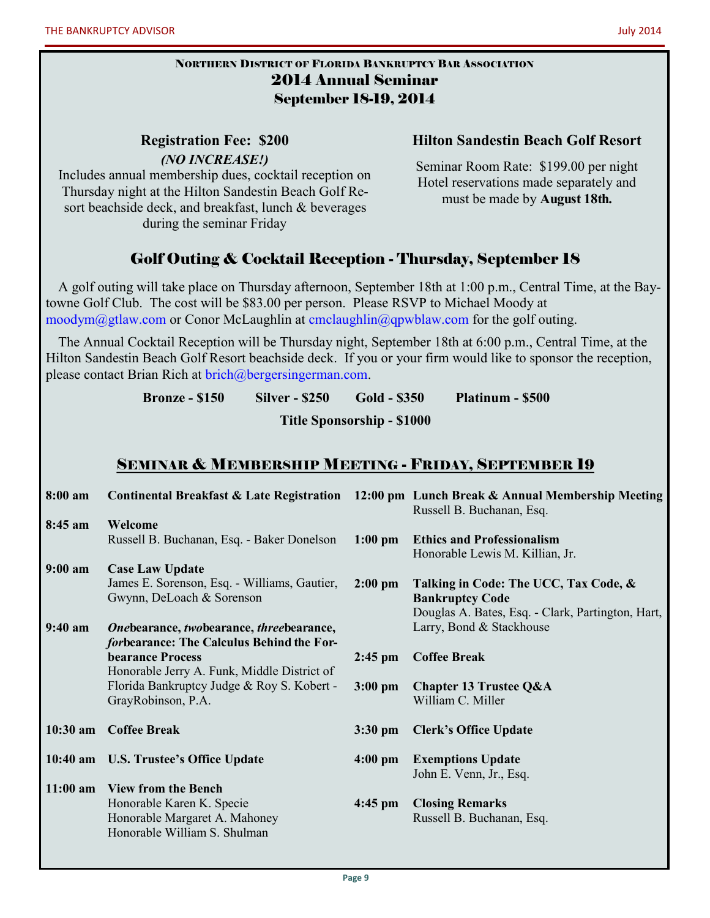#### NORTHERN DISTRICT OF FLORIDA BANKRUPTCY BAR ASSOCIATION 2014 Annual Seminar September 18-19, 2014

#### **Registration Fee: \$200** *(NO INCREASE!)*

**Hilton Sandestin Beach Golf Resort**

Includes annual membership dues, cocktail reception on Thursday night at the Hilton Sandestin Beach Golf Resort beachside deck, and breakfast, lunch & beverages during the seminar Friday

Seminar Room Rate: \$199.00 per night Hotel reservations made separately and must be made by **August 18th.**

# Golf Outing & Cocktail Reception - Thursday, September 18

A golf outing will take place on Thursday afternoon, September 18th at 1:00 p.m., Central Time, at the Baytowne Golf Club. The cost will be \$83.00 per person. Please RSVP to Michael Moody at moodym $@g$ tlaw.com or Conor McLaughlin at cmclaughlin $@g$ pwblaw.com for the golf outing.

The Annual Cocktail Reception will be Thursday night, September 18th at 6:00 p.m., Central Time, at the Hilton Sandestin Beach Golf Resort beachside deck. If you or your firm would like to sponsor the reception, please contact Brian Rich at [brich@bergersingerman.com.](mailto:brich@bergersingerman.com?subject=NDFLBBA%20Seminar)

> **Bronze - \$150 Silver - \$250 Gold - \$350 Platinum - \$500 Title Sponsorship - \$1000**

### SEMINAR & MEMBERSHIP MEETING - FRIDAY, SEPTEMBER 19

| 8:00 am    |                                                                                            |                   | Continental Breakfast & Late Registration 12:00 pm Lunch Break & Annual Membership Meeting<br>Russell B. Buchanan, Esq. |
|------------|--------------------------------------------------------------------------------------------|-------------------|-------------------------------------------------------------------------------------------------------------------------|
| 8:45 am    | Welcome<br>Russell B. Buchanan, Esq. - Baker Donelson                                      | $1:00$ pm         | <b>Ethics and Professionalism</b><br>Honorable Lewis M. Killian, Jr.                                                    |
| $9:00$ am  | <b>Case Law Update</b>                                                                     |                   |                                                                                                                         |
|            | James E. Sorenson, Esq. - Williams, Gautier,<br>Gwynn, DeLoach & Sorenson                  | $2:00$ pm         | Talking in Code: The UCC, Tax Code, &<br><b>Bankruptcy Code</b><br>Douglas A. Bates, Esq. - Clark, Partington, Hart,    |
| $9:40$ am  | Onebearance, twobearance, threebearance,<br>forbearance: The Calculus Behind the For-      |                   | Larry, Bond & Stackhouse                                                                                                |
|            | <b>bearance Process</b><br>Honorable Jerry A. Funk, Middle District of                     | $2:45$ pm         | <b>Coffee Break</b>                                                                                                     |
|            | Florida Bankruptcy Judge & Roy S. Kobert -<br>GrayRobinson, P.A.                           | $3:00$ pm         | <b>Chapter 13 Trustee Q&amp;A</b><br>William C. Miller                                                                  |
| $10:30$ am | <b>Coffee Break</b>                                                                        | $3:30 \text{ pm}$ | <b>Clerk's Office Update</b>                                                                                            |
| $10:40$ am | <b>U.S. Trustee's Office Update</b>                                                        | $4:00$ pm         | <b>Exemptions Update</b><br>John E. Venn, Jr., Esq.                                                                     |
| $11:00$ am | <b>View from the Bench</b>                                                                 |                   |                                                                                                                         |
|            | Honorable Karen K. Specie<br>Honorable Margaret A. Mahoney<br>Honorable William S. Shulman | $4:45$ pm         | <b>Closing Remarks</b><br>Russell B. Buchanan, Esq.                                                                     |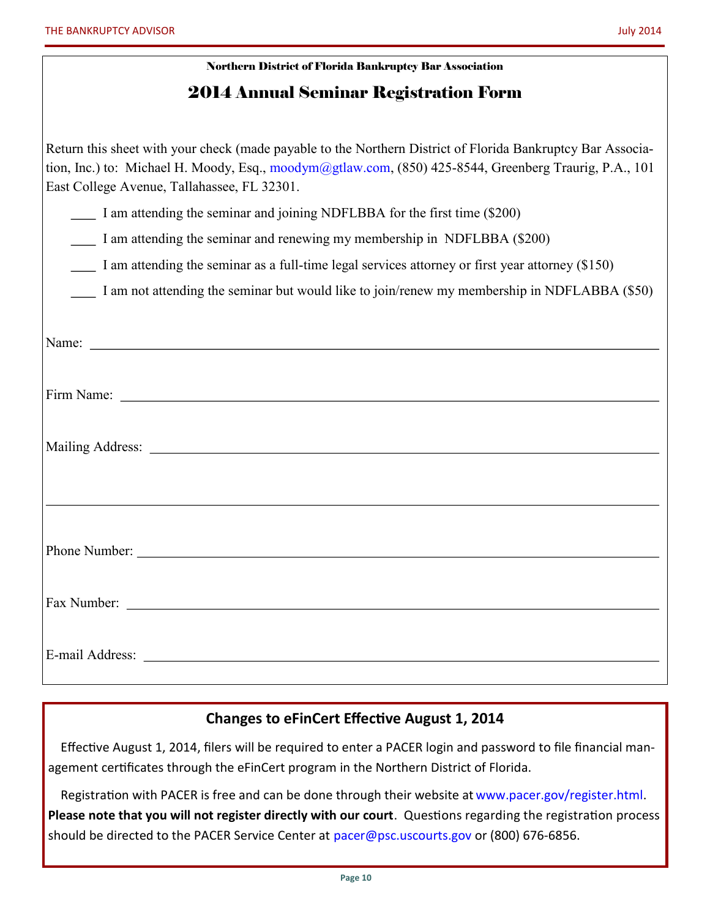| <b>Northern District of Florida Bankruptcy Bar Association</b>                                                                                                                                                                                                       |  |  |  |  |  |
|----------------------------------------------------------------------------------------------------------------------------------------------------------------------------------------------------------------------------------------------------------------------|--|--|--|--|--|
| <b>2014 Annual Seminar Registration Form</b>                                                                                                                                                                                                                         |  |  |  |  |  |
|                                                                                                                                                                                                                                                                      |  |  |  |  |  |
| Return this sheet with your check (made payable to the Northern District of Florida Bankruptcy Bar Associa-<br>tion, Inc.) to: Michael H. Moody, Esq., moodym@gtlaw.com, (850) 425-8544, Greenberg Traurig, P.A., 101<br>East College Avenue, Tallahassee, FL 32301. |  |  |  |  |  |
| I am attending the seminar and joining NDFLBBA for the first time (\$200)                                                                                                                                                                                            |  |  |  |  |  |
| I am attending the seminar and renewing my membership in NDFLBBA (\$200)                                                                                                                                                                                             |  |  |  |  |  |
| I am attending the seminar as a full-time legal services attorney or first year attorney (\$150)                                                                                                                                                                     |  |  |  |  |  |
| I am not attending the seminar but would like to join/renew my membership in NDFLABBA (\$50)                                                                                                                                                                         |  |  |  |  |  |
|                                                                                                                                                                                                                                                                      |  |  |  |  |  |
| Name: Name and the state of the state of the state of the state of the state of the state of the state of the state of the state of the state of the state of the state of the state of the state of the state of the state of                                       |  |  |  |  |  |
|                                                                                                                                                                                                                                                                      |  |  |  |  |  |
|                                                                                                                                                                                                                                                                      |  |  |  |  |  |
|                                                                                                                                                                                                                                                                      |  |  |  |  |  |
|                                                                                                                                                                                                                                                                      |  |  |  |  |  |
| Phone Number: <u>and the substantial contract of the substantial contract of the substantial contract of the substantial contract of the substantial contract of the substantial contract of the substantial contract of the sub</u>                                 |  |  |  |  |  |
|                                                                                                                                                                                                                                                                      |  |  |  |  |  |
|                                                                                                                                                                                                                                                                      |  |  |  |  |  |
|                                                                                                                                                                                                                                                                      |  |  |  |  |  |
|                                                                                                                                                                                                                                                                      |  |  |  |  |  |

### **Changes to eFinCert Effective August 1, 2014**

Effective August 1, 2014, filers will be required to enter a PACER login and password to file financial management certificates through the eFinCert program in the Northern District of Florida.

Registration with PACER is free and can be done through their website at [www.pacer.gov/register.html.](http://www.pacer.gov/register.html) 

**Please note that you will not register directly with our court**. Questions regarding the registration process should be directed to the PACER Service Center at [pacer@psc.uscourts.gov](mailto:pacer@psc.uscourts.gov) or (800) 676-6856.